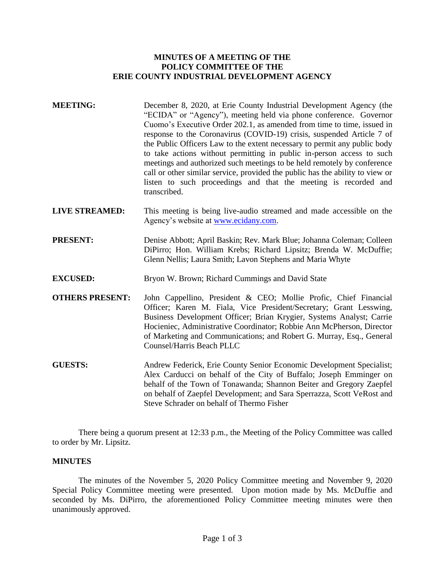# **MINUTES OF A MEETING OF THE POLICY COMMITTEE OF THE ERIE COUNTY INDUSTRIAL DEVELOPMENT AGENCY**

- **MEETING:** December 8, 2020, at Erie County Industrial Development Agency (the "ECIDA" or "Agency"), meeting held via phone conference. Governor Cuomo's Executive Order 202.1, as amended from time to time, issued in response to the Coronavirus (COVID-19) crisis, suspended Article 7 of the Public Officers Law to the extent necessary to permit any public body to take actions without permitting in public in-person access to such meetings and authorized such meetings to be held remotely by conference call or other similar service, provided the public has the ability to view or listen to such proceedings and that the meeting is recorded and transcribed.
- **LIVE STREAMED:** This meeting is being live-audio streamed and made accessible on the Agency's website at [www.ecidany.com.](http://www.ecidany.com/)
- **PRESENT:** Denise Abbott; April Baskin; Rev. Mark Blue; Johanna Coleman; Colleen DiPirro; Hon. William Krebs; Richard Lipsitz; Brenda W. McDuffie; Glenn Nellis; Laura Smith; Lavon Stephens and Maria Whyte
- **EXCUSED:** Bryon W. Brown; Richard Cummings and David State
- **OTHERS PRESENT:** John Cappellino, President & CEO; Mollie Profic, Chief Financial Officer; Karen M. Fiala, Vice President/Secretary; Grant Lesswing, Business Development Officer; Brian Krygier, Systems Analyst; Carrie Hocieniec, Administrative Coordinator; Robbie Ann McPherson, Director of Marketing and Communications; and Robert G. Murray, Esq., General Counsel/Harris Beach PLLC
- **GUESTS:** Andrew Federick, Erie County Senior Economic Development Specialist; Alex Carducci on behalf of the City of Buffalo; Joseph Emminger on behalf of the Town of Tonawanda; Shannon Beiter and Gregory Zaepfel on behalf of Zaepfel Development; and Sara Sperrazza, Scott VeRost and Steve Schrader on behalf of Thermo Fisher

There being a quorum present at 12:33 p.m., the Meeting of the Policy Committee was called to order by Mr. Lipsitz.

# **MINUTES**

The minutes of the November 5, 2020 Policy Committee meeting and November 9, 2020 Special Policy Committee meeting were presented. Upon motion made by Ms. McDuffie and seconded by Ms. DiPirro, the aforementioned Policy Committee meeting minutes were then unanimously approved.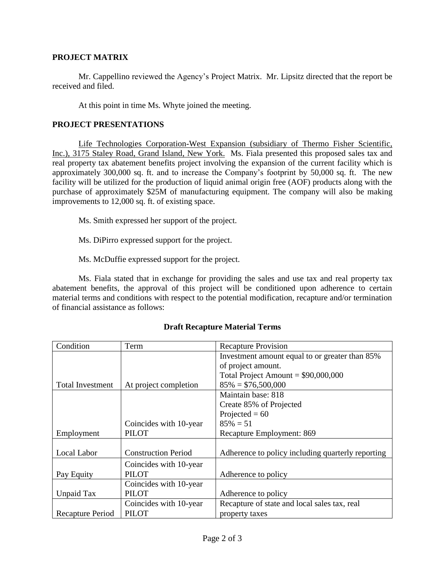# **PROJECT MATRIX**

Mr. Cappellino reviewed the Agency's Project Matrix. Mr. Lipsitz directed that the report be received and filed.

At this point in time Ms. Whyte joined the meeting.

### **PROJECT PRESENTATIONS**

Life Technologies Corporation-West Expansion (subsidiary of Thermo Fisher Scientific, Inc.), 3175 Staley Road, Grand Island, New York. Ms. Fiala presented this proposed sales tax and real property tax abatement benefits project involving the expansion of the current facility which is approximately 300,000 sq. ft. and to increase the Company's footprint by 50,000 sq. ft. The new facility will be utilized for the production of liquid animal origin free (AOF) products along with the purchase of approximately \$25M of manufacturing equipment. The company will also be making improvements to 12,000 sq. ft. of existing space.

Ms. Smith expressed her support of the project.

Ms. DiPirro expressed support for the project.

Ms. McDuffie expressed support for the project.

Ms. Fiala stated that in exchange for providing the sales and use tax and real property tax abatement benefits, the approval of this project will be conditioned upon adherence to certain material terms and conditions with respect to the potential modification, recapture and/or termination of financial assistance as follows:

| Condition               | Term                       | <b>Recapture Provision</b>                        |
|-------------------------|----------------------------|---------------------------------------------------|
|                         |                            | Investment amount equal to or greater than 85%    |
|                         |                            | of project amount.                                |
|                         |                            | Total Project Amount = $$90,000,000$              |
| <b>Total Investment</b> | At project completion      | $85\% = $76,500,000$                              |
|                         |                            | Maintain base: 818                                |
|                         |                            | Create 85% of Projected                           |
|                         |                            | Projected = $60$                                  |
|                         | Coincides with 10-year     | $85\% = 51$                                       |
| Employment              | <b>PILOT</b>               | Recapture Employment: 869                         |
|                         |                            |                                                   |
| Local Labor             | <b>Construction Period</b> | Adherence to policy including quarterly reporting |
|                         | Coincides with 10-year     |                                                   |
| Pay Equity              | <b>PILOT</b>               | Adherence to policy                               |
|                         | Coincides with 10-year     |                                                   |
| <b>Unpaid Tax</b>       | <b>PILOT</b>               | Adherence to policy                               |
|                         | Coincides with 10-year     | Recapture of state and local sales tax, real      |
| Recapture Period        | <b>PILOT</b>               | property taxes                                    |

# **Draft Recapture Material Terms**